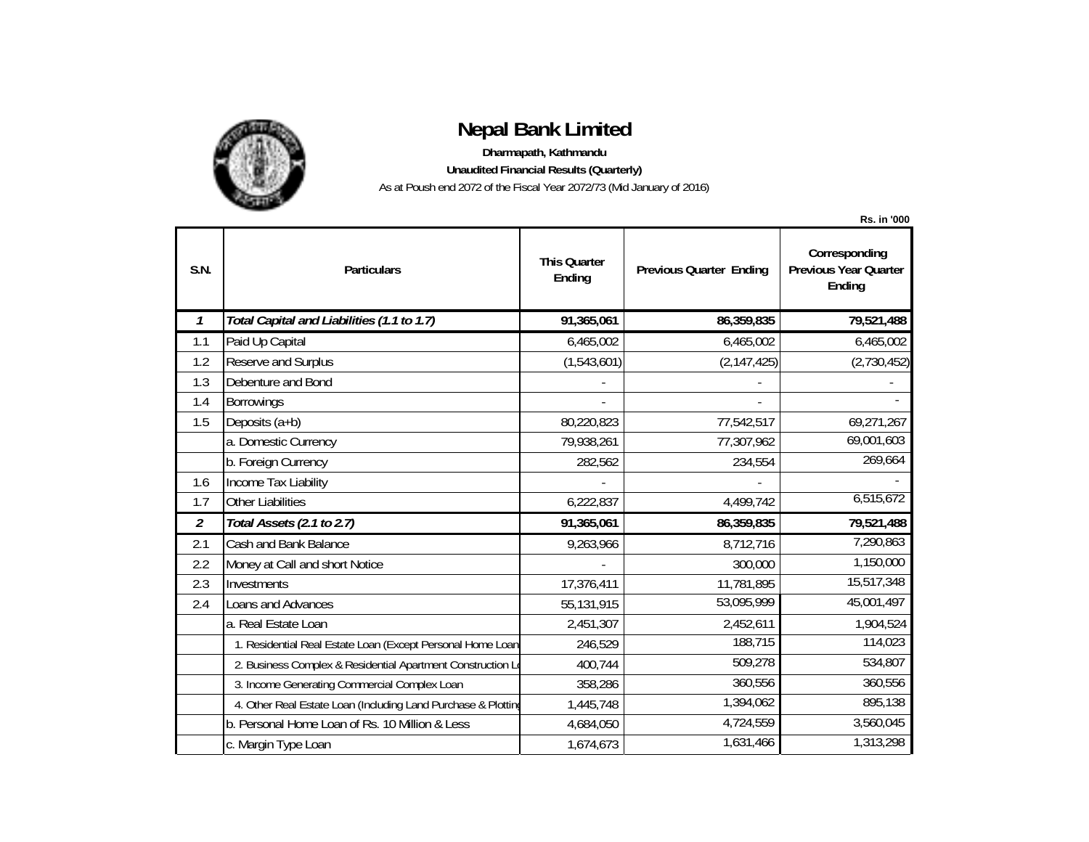

## **Nepal Bank Limited**

**Dharmapath, Kathmandu**

**Unaudited Financial Results (Quarterly)**

As at Poush end 2072 of the Fiscal Year 2072/73 (Mid January of 2016)

|                |                                                               |                               |                                | <b>Rs. in '000</b>                                      |
|----------------|---------------------------------------------------------------|-------------------------------|--------------------------------|---------------------------------------------------------|
| S.N.           | <b>Particulars</b>                                            | <b>This Quarter</b><br>Ending | <b>Previous Quarter Ending</b> | Corresponding<br><b>Previous Year Quarter</b><br>Ending |
| 1              | Total Capital and Liabilities (1.1 to 1.7)                    | 91,365,061                    | 86,359,835                     | 79,521,488                                              |
| 1.1            | Paid Up Capital                                               | 6,465,002                     | 6,465,002                      | 6,465,002                                               |
| 1.2            | Reserve and Surplus                                           | (1,543,601)                   | (2, 147, 425)                  | (2,730,452)                                             |
| 1.3            | Debenture and Bond                                            |                               |                                |                                                         |
| 1.4            | Borrowings                                                    |                               |                                |                                                         |
| 1.5            | Deposits (a+b)                                                | 80,220,823                    | 77,542,517                     | 69,271,267                                              |
|                | a. Domestic Currency                                          | 79,938,261                    | 77,307,962                     | 69,001,603                                              |
|                | b. Foreign Currency                                           | 282,562                       | 234,554                        | 269,664                                                 |
| 1.6            | Income Tax Liability                                          |                               |                                |                                                         |
| 1.7            | Other Liabilities                                             | 6,222,837                     | 4,499,742                      | 6,515,672                                               |
| $\overline{2}$ | Total Assets (2.1 to 2.7)                                     | 91,365,061                    | 86,359,835                     | 79,521,488                                              |
| 2.1            | Cash and Bank Balance                                         | 9,263,966                     | 8,712,716                      | 7,290,863                                               |
| 2.2            | Money at Call and short Notice                                |                               | 300,000                        | 1,150,000                                               |
| 2.3            | Investments                                                   | 17,376,411                    | 11,781,895                     | 15,517,348                                              |
| 2.4            | Loans and Advances                                            | 55,131,915                    | 53,095,999                     | 45,001,497                                              |
|                | a. Real Estate Loan                                           | 2,451,307                     | 2,452,611                      | 1,904,524                                               |
|                | 1. Residential Real Estate Loan (Except Personal Home Loan    | 246,529                       | 188,715                        | 114,023                                                 |
|                | 2. Business Complex & Residential Apartment Construction L    | 400,744                       | 509,278                        | 534,807                                                 |
|                | 3. Income Generating Commercial Complex Loan                  | 358,286                       | 360,556                        | 360,556                                                 |
|                | 4. Other Real Estate Loan (Including Land Purchase & Plotting | 1,445,748                     | 1,394,062                      | 895,138                                                 |
|                | b. Personal Home Loan of Rs. 10 Million & Less                | 4,684,050                     | 4,724,559                      | 3,560,045                                               |
|                | c. Margin Type Loan                                           | 1,674,673                     | 1,631,466                      | 1,313,298                                               |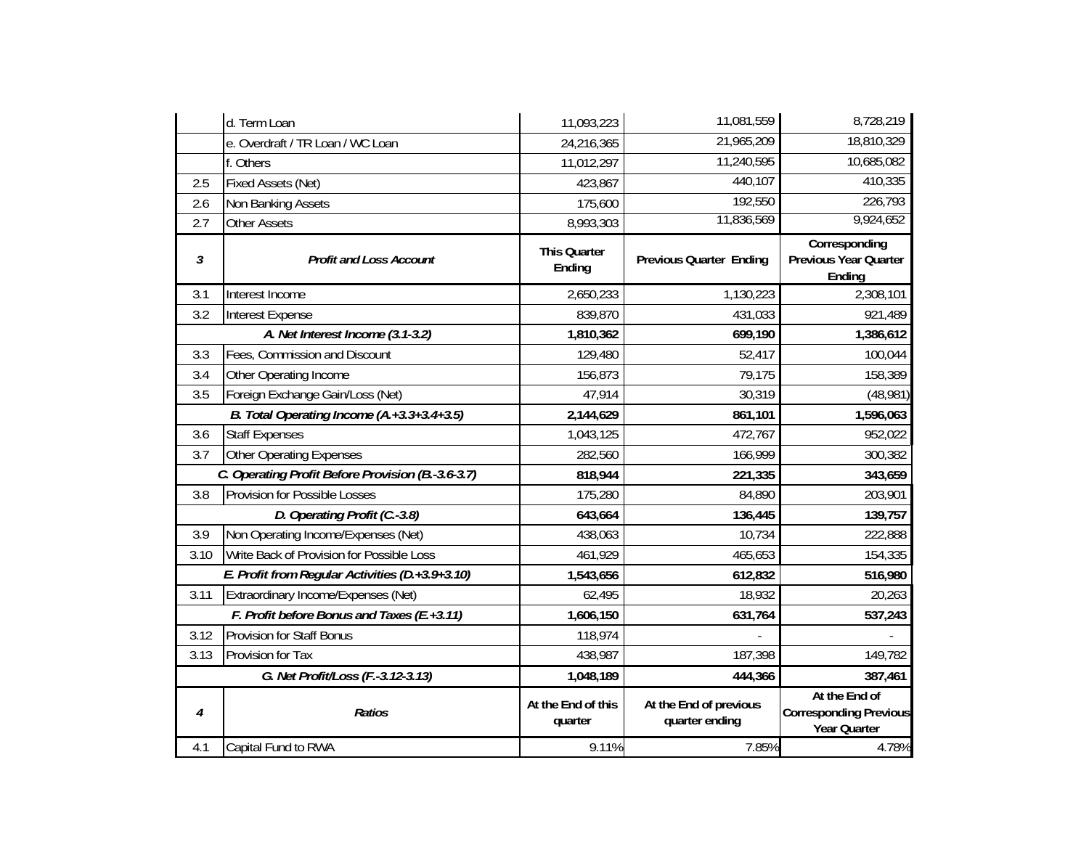|                                                   | d. Term Loan                                    | 11,093,223                    | 11,081,559                               | 8,728,219                                                      |
|---------------------------------------------------|-------------------------------------------------|-------------------------------|------------------------------------------|----------------------------------------------------------------|
|                                                   | e. Overdraft / TR Loan / WC Loan                | 24,216,365                    | 21,965,209                               | 18,810,329                                                     |
|                                                   | f. Others                                       | 11,012,297                    | 11,240,595                               | 10,685,082                                                     |
| 2.5                                               | Fixed Assets (Net)                              | 423,867                       | 440,107                                  | 410,335                                                        |
| 2.6                                               | Non Banking Assets                              | 175,600                       | 192,550                                  | 226,793                                                        |
| 2.7                                               | <b>Other Assets</b>                             | 8,993,303                     | 11,836,569                               | 9,924,652                                                      |
| 3                                                 | <b>Profit and Loss Account</b>                  | <b>This Quarter</b><br>Ending | <b>Previous Quarter Ending</b>           | Corresponding<br>Previous Year Quarter<br>Ending               |
| 3.1                                               | Interest Income                                 | 2,650,233                     | 1,130,223                                | 2,308,101                                                      |
| 3.2                                               | Interest Expense                                | 839,870                       | 431,033                                  | 921,489                                                        |
| A. Net Interest Income (3.1-3.2)                  |                                                 | 1,810,362                     | 699,190                                  | 1,386,612                                                      |
| 3.3                                               | Fees, Commission and Discount                   | 129,480                       | 52,417                                   | 100,044                                                        |
| 3.4                                               | Other Operating Income                          | 156,873                       | 79,175                                   | 158,389                                                        |
| 3.5                                               | Foreign Exchange Gain/Loss (Net)                | 47,914                        | 30,319                                   | (48, 981)                                                      |
| B. Total Operating Income (A.+3.3+3.4+3.5)        |                                                 | 2,144,629                     | 861,101                                  | 1,596,063                                                      |
| 3.6                                               | <b>Staff Expenses</b>                           | 1,043,125                     | 472,767                                  | 952,022                                                        |
| 3.7                                               | <b>Other Operating Expenses</b>                 | 282,560                       | 166,999                                  | 300,382                                                        |
| C. Operating Profit Before Provision (B.-3.6-3.7) |                                                 | 818,944                       | 221,335                                  | 343,659                                                        |
| 3.8                                               | <b>Provision for Possible Losses</b>            | 175,280                       | 84,890                                   | 203,901                                                        |
|                                                   | D. Operating Profit (C.-3.8)                    | 643,664                       | 136,445                                  | 139,757                                                        |
| 3.9                                               | Non Operating Income/Expenses (Net)             | 438,063                       | 10,734                                   | 222,888                                                        |
| 3.10                                              | Write Back of Provision for Possible Loss       | 461,929                       | 465,653                                  | 154,335                                                        |
|                                                   | E. Profit from Regular Activities (D.+3.9+3.10) | 1,543,656                     | 612,832                                  | 516,980                                                        |
| 3.11                                              | Extraordinary Income/Expenses (Net)             | 62,495                        | 18,932                                   | 20,263                                                         |
|                                                   | F. Profit before Bonus and Taxes (E.+3.11)      | 1,606,150                     | 631,764                                  | 537,243                                                        |
| 3.12                                              | <b>Provision for Staff Bonus</b>                | 118,974                       |                                          |                                                                |
| 3.13                                              | Provision for Tax                               | 438,987                       | 187,398                                  | 149,782                                                        |
| G. Net Profit/Loss (F.-3.12-3.13)                 |                                                 | 1,048,189                     | 444,366                                  | 387,461                                                        |
| 4                                                 | <b>Ratios</b>                                   | At the End of this<br>quarter | At the End of previous<br>quarter ending | At the End of<br><b>Corresponding Previous</b><br>Year Quarter |
| 4.1                                               | Capital Fund to RWA                             | 9.11%                         | 7.85%                                    | 4.78%                                                          |